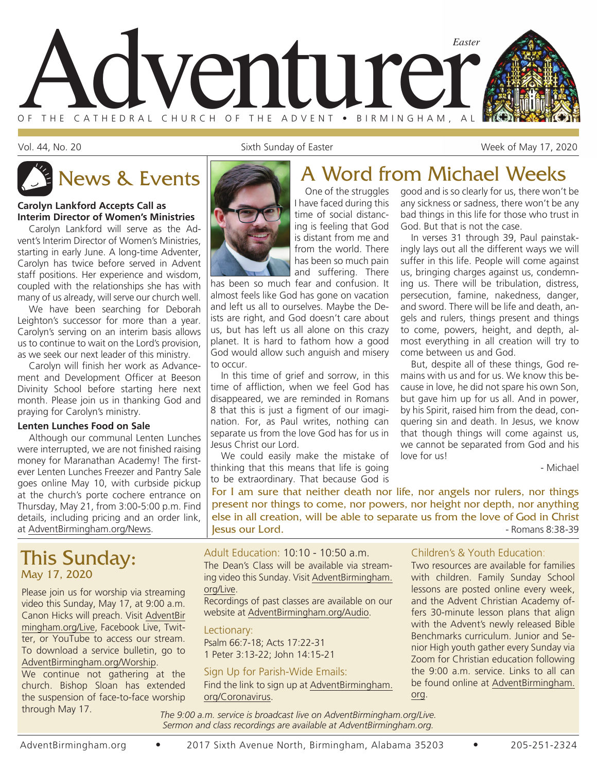

Vol. 44, No. 20 **Sixth Sunday of Easter** Week of May 17, 2020

#### **Carolyn Lankford Accepts Call as Interim Director of Women's Ministries**

Carolyn Lankford will serve as the Advent's Interim Director of Women's Ministries, starting in early June. A long-time Adventer, Carolyn has twice before served in Advent staff positions. Her experience and wisdom, coupled with the relationships she has with many of us already, will serve our church well.

We have been searching for Deborah Leighton's successor for more than a year. Carolyn's serving on an interim basis allows us to continue to wait on the Lord's provision, as we seek our next leader of this ministry.

Carolyn will finish her work as Advancement and Development Officer at Beeson Divinity School before starting here next month. Please join us in thanking God and praying for Carolyn's ministry.

#### **Lenten Lunches Food on Sale**

Although our communal Lenten Lunches were interrupted, we are not finished raising money for Maranathan Academy! The firstever Lenten Lunches Freezer and Pantry Sale goes online May 10, with curbside pickup at the church's porte cochere entrance on Thursday, May 21, from 3:00-5:00 p.m. Find details, including pricing and an order link, at AdventBirmingham.org/News.

## This Sunday: May 17, 2020

Please join us for worship via streaming video this Sunday, May 17, at 9:00 a.m. Canon Hicks will preach. Visit AdventBir mingham.org/Live, Facebook Live, Twitter, or YouTube to access our stream. To download a service bulletin, go to AdventBirmingham.org/Worship.

We continue not gathering at the church. Bishop Sloan has extended the suspension of face-to-face worship through May 17.



# News & Events **A Word from Michael Weeks**

One of the struggles I have faced during this time of social distancing is feeling that God is distant from me and from the world. There has been so much pain and suffering. There

has been so much fear and confusion. It almost feels like God has gone on vacation and left us all to ourselves. Maybe the Deists are right, and God doesn't care about us, but has left us all alone on this crazy planet. It is hard to fathom how a good God would allow such anguish and misery to occur.

In this time of grief and sorrow, in this time of affliction, when we feel God has disappeared, we are reminded in Romans 8 that this is just a figment of our imagination. For, as Paul writes, nothing can separate us from the love God has for us in Jesus Christ our Lord.

We could easily make the mistake of thinking that this means that life is going to be extraordinary. That because God is

good and is so clearly for us, there won't be any sickness or sadness, there won't be any bad things in this life for those who trust in God. But that is not the case.

In verses 31 through 39, Paul painstakingly lays out all the different ways we will suffer in this life. People will come against us, bringing charges against us, condemning us. There will be tribulation, distress, persecution, famine, nakedness, danger, and sword. There will be life and death, angels and rulers, things present and things to come, powers, height, and depth, almost everything in all creation will try to come between us and God.

But, despite all of these things, God remains with us and for us. We know this because in love, he did not spare his own Son, but gave him up for us all. And in power, by his Spirit, raised him from the dead, conquering sin and death. In Jesus, we know that though things will come against us, we cannot be separated from God and his love for us!

- Michael

For I am sure that neither death nor life, nor angels nor rulers, nor things present nor things to come, nor powers, nor height nor depth, nor anything else in all creation, will be able to separate us from the love of God in Christ **Jesus our Lord.**  $\blacksquare$ 

Adult Education: 10:10 - 10:50 a.m. The Dean's Class will be available via streaming video this Sunday. Visit AdventBirmingham. org/Live.

Recordings of past classes are available on our website at AdventBirmingham.org/Audio.

Lectionary: Psalm 66:7-18; Acts 17:22-31 1 Peter 3:13-22; John 14:15-21

#### Sign Up for Parish-Wide Emails:

Find the link to sign up at AdventBirmingham. org/Coronavirus.

#### Children's & Youth Education:

Two resources are available for families with children. Family Sunday School lessons are posted online every week, and the Advent Christian Academy offers 30-minute lesson plans that align with the Advent's newly released Bible Benchmarks curriculum. Junior and Senior High youth gather every Sunday via Zoom for Christian education following the 9:00 a.m. service. Links to all can be found online at AdventBirmingham. org.

*The 9:00 a.m. service is broadcast live on AdventBirmingham.org/Live. Sermon and class recordings are available at AdventBirmingham.org.*